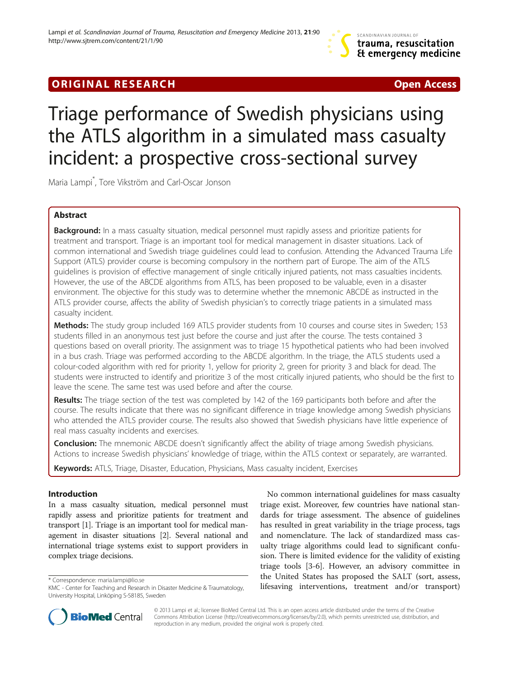## **ORIGINAL RESEARCH CONSUMING A RESEARCH CONSUMING A RESEARCH**

# Triage performance of Swedish physicians using the ATLS algorithm in a simulated mass casualty incident: a prospective cross-sectional survey

Maria Lampi\* , Tore Vikström and Carl-Oscar Jonson

## Abstract

Background: In a mass casualty situation, medical personnel must rapidly assess and prioritize patients for treatment and transport. Triage is an important tool for medical management in disaster situations. Lack of common international and Swedish triage guidelines could lead to confusion. Attending the Advanced Trauma Life Support (ATLS) provider course is becoming compulsory in the northern part of Europe. The aim of the ATLS guidelines is provision of effective management of single critically injured patients, not mass casualties incidents. However, the use of the ABCDE algorithms from ATLS, has been proposed to be valuable, even in a disaster environment. The objective for this study was to determine whether the mnemonic ABCDE as instructed in the ATLS provider course, affects the ability of Swedish physician's to correctly triage patients in a simulated mass casualty incident.

Methods: The study group included 169 ATLS provider students from 10 courses and course sites in Sweden; 153 students filled in an anonymous test just before the course and just after the course. The tests contained 3 questions based on overall priority. The assignment was to triage 15 hypothetical patients who had been involved in a bus crash. Triage was performed according to the ABCDE algorithm. In the triage, the ATLS students used a colour-coded algorithm with red for priority 1, yellow for priority 2, green for priority 3 and black for dead. The students were instructed to identify and prioritize 3 of the most critically injured patients, who should be the first to leave the scene. The same test was used before and after the course.

Results: The triage section of the test was completed by 142 of the 169 participants both before and after the course. The results indicate that there was no significant difference in triage knowledge among Swedish physicians who attended the ATLS provider course. The results also showed that Swedish physicians have little experience of real mass casualty incidents and exercises.

Conclusion: The mnemonic ABCDE doesn't significantly affect the ability of triage among Swedish physicians. Actions to increase Swedish physicians' knowledge of triage, within the ATLS context or separately, are warranted.

Keywords: ATLS, Triage, Disaster, Education, Physicians, Mass casualty incident, Exercises

## Introduction

In a mass casualty situation, medical personnel must rapidly assess and prioritize patients for treatment and transport [\[1\]](#page-4-0). Triage is an important tool for medical management in disaster situations [\[2\]](#page-4-0). Several national and international triage systems exist to support providers in complex triage decisions.

No common international guidelines for mass casualty triage exist. Moreover, few countries have national standards for triage assessment. The absence of guidelines has resulted in great variability in the triage process, tags and nomenclature. The lack of standardized mass casualty triage algorithms could lead to significant confusion. There is limited evidence for the validity of existing triage tools [[3-6](#page-4-0)]. However, an advisory committee in the United States has proposed the SALT (sort, assess, life United States has proposed the SALT (sort, assess,<br>KMC - Center for Teaching and Research in Disaster Medicine & Traumatology, lifesaving interventions, treatment and/or transport)



© 2013 Lampi et al.; licensee BioMed Central Ltd. This is an open access article distributed under the terms of the Creative Commons Attribution License [\(http://creativecommons.org/licenses/by/2.0\)](http://creativecommons.org/licenses/by/2.0), which permits unrestricted use, distribution, and reproduction in any medium, provided the original work is properly cited.

KMC - Center for Teaching and Research in Disaster Medicine & Traumatology, University Hospital, Linköping S-58185, Sweden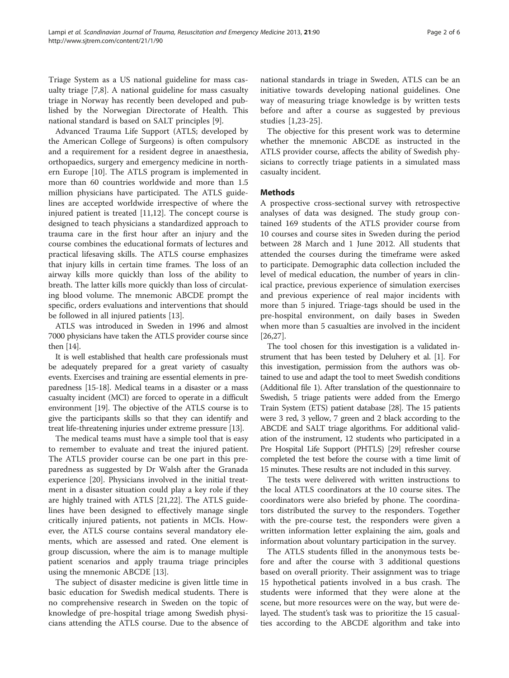Triage System as a US national guideline for mass casualty triage [[7,8\]](#page-4-0). A national guideline for mass casualty triage in Norway has recently been developed and published by the Norwegian Directorate of Health. This national standard is based on SALT principles [[9\]](#page-4-0).

Advanced Trauma Life Support (ATLS; developed by the American College of Surgeons) is often compulsory and a requirement for a resident degree in anaesthesia, orthopaedics, surgery and emergency medicine in northern Europe [\[10\]](#page-4-0). The ATLS program is implemented in more than 60 countries worldwide and more than 1.5 million physicians have participated. The ATLS guidelines are accepted worldwide irrespective of where the injured patient is treated [\[11,12\]](#page-4-0). The concept course is designed to teach physicians a standardized approach to trauma care in the first hour after an injury and the course combines the educational formats of lectures and practical lifesaving skills. The ATLS course emphasizes that injury kills in certain time frames. The loss of an airway kills more quickly than loss of the ability to breath. The latter kills more quickly than loss of circulating blood volume. The mnemonic ABCDE prompt the specific, orders evaluations and interventions that should be followed in all injured patients [\[13](#page-4-0)].

ATLS was introduced in Sweden in 1996 and almost 7000 physicians have taken the ATLS provider course since then [\[14\]](#page-4-0).

It is well established that health care professionals must be adequately prepared for a great variety of casualty events. Exercises and training are essential elements in preparedness [[15](#page-4-0)-[18](#page-4-0)]. Medical teams in a disaster or a mass casualty incident (MCI) are forced to operate in a difficult environment [[19](#page-4-0)]. The objective of the ATLS course is to give the participants skills so that they can identify and treat life-threatening injuries under extreme pressure [\[13\]](#page-4-0).

The medical teams must have a simple tool that is easy to remember to evaluate and treat the injured patient. The ATLS provider course can be one part in this preparedness as suggested by Dr Walsh after the Granada experience [[20\]](#page-4-0). Physicians involved in the initial treatment in a disaster situation could play a key role if they are highly trained with ATLS [[21,22](#page-4-0)]. The ATLS guidelines have been designed to effectively manage single critically injured patients, not patients in MCIs. However, the ATLS course contains several mandatory elements, which are assessed and rated. One element is group discussion, where the aim is to manage multiple patient scenarios and apply trauma triage principles using the mnemonic ABCDE [\[13](#page-4-0)].

The subject of disaster medicine is given little time in basic education for Swedish medical students. There is no comprehensive research in Sweden on the topic of knowledge of pre-hospital triage among Swedish physicians attending the ATLS course. Due to the absence of

national standards in triage in Sweden, ATLS can be an initiative towards developing national guidelines. One way of measuring triage knowledge is by written tests before and after a course as suggested by previous studies [[1,23](#page-4-0)-[25](#page-4-0)].

The objective for this present work was to determine whether the mnemonic ABCDE as instructed in the ATLS provider course, affects the ability of Swedish physicians to correctly triage patients in a simulated mass casualty incident.

#### **Methods**

A prospective cross-sectional survey with retrospective analyses of data was designed. The study group contained 169 students of the ATLS provider course from 10 courses and course sites in Sweden during the period between 28 March and 1 June 2012. All students that attended the courses during the timeframe were asked to participate. Demographic data collection included the level of medical education, the number of years in clinical practice, previous experience of simulation exercises and previous experience of real major incidents with more than 5 injured. Triage-tags should be used in the pre-hospital environment, on daily bases in Sweden when more than 5 casualties are involved in the incident [[26,27\]](#page-4-0).

The tool chosen for this investigation is a validated instrument that has been tested by Deluhery et al. [\[1\]](#page-4-0). For this investigation, permission from the authors was obtained to use and adapt the tool to meet Swedish conditions (Additional file [1\)](#page-4-0). After translation of the questionnaire to Swedish, 5 triage patients were added from the Emergo Train System (ETS) patient database [[28](#page-5-0)]. The 15 patients were 3 red, 3 yellow, 7 green and 2 black according to the ABCDE and SALT triage algorithms. For additional validation of the instrument, 12 students who participated in a Pre Hospital Life Support (PHTLS) [\[29](#page-5-0)] refresher course completed the test before the course with a time limit of 15 minutes. These results are not included in this survey.

The tests were delivered with written instructions to the local ATLS coordinators at the 10 course sites. The coordinators were also briefed by phone. The coordinators distributed the survey to the responders. Together with the pre-course test, the responders were given a written information letter explaining the aim, goals and information about voluntary participation in the survey.

The ATLS students filled in the anonymous tests before and after the course with 3 additional questions based on overall priority. Their assignment was to triage 15 hypothetical patients involved in a bus crash. The students were informed that they were alone at the scene, but more resources were on the way, but were delayed. The student's task was to prioritize the 15 casualties according to the ABCDE algorithm and take into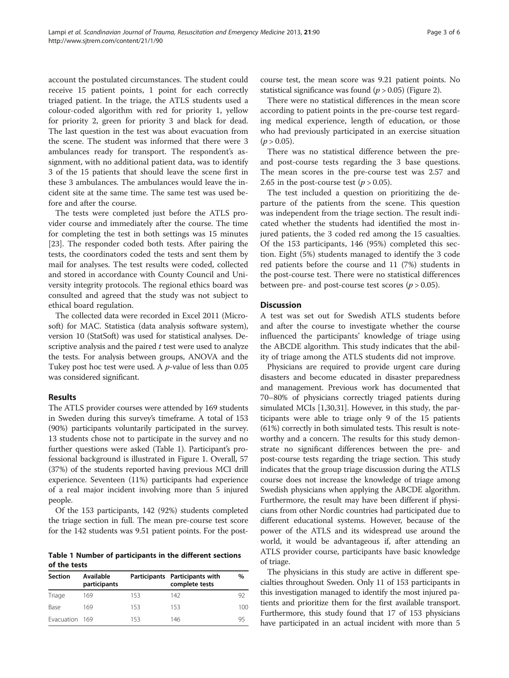account the postulated circumstances. The student could receive 15 patient points, 1 point for each correctly triaged patient. In the triage, the ATLS students used a colour-coded algorithm with red for priority 1, yellow for priority 2, green for priority 3 and black for dead. The last question in the test was about evacuation from the scene. The student was informed that there were 3 ambulances ready for transport. The respondent's assignment, with no additional patient data, was to identify 3 of the 15 patients that should leave the scene first in these 3 ambulances. The ambulances would leave the incident site at the same time. The same test was used before and after the course.

The tests were completed just before the ATLS provider course and immediately after the course. The time for completing the test in both settings was 15 minutes [[23\]](#page-4-0). The responder coded both tests. After pairing the tests, the coordinators coded the tests and sent them by mail for analyses. The test results were coded, collected and stored in accordance with County Council and University integrity protocols. The regional ethics board was consulted and agreed that the study was not subject to ethical board regulation.

The collected data were recorded in Excel 2011 (Microsoft) for MAC. Statistica (data analysis software system), version 10 (StatSoft) was used for statistical analyses. Descriptive analysis and the paired  $t$  test were used to analyze the tests. For analysis between groups, ANOVA and the Tukey post hoc test were used. A p-value of less than 0.05 was considered significant.

#### Results

The ATLS provider courses were attended by 169 students in Sweden during this survey's timeframe. A total of 153 (90%) participants voluntarily participated in the survey. 13 students chose not to participate in the survey and no further questions were asked (Table 1). Participant's professional background is illustrated in Figure [1](#page-3-0). Overall, 57 (37%) of the students reported having previous MCI drill experience. Seventeen (11%) participants had experience of a real major incident involving more than 5 injured people.

Of the 153 participants, 142 (92%) students completed the triage section in full. The mean pre-course test score for the 142 students was 9.51 patient points. For the post-

Table 1 Number of participants in the different sections of the tests

| <b>Section</b> | <b>Available</b><br>participants |     | Participants Participants with<br>complete tests | %   |
|----------------|----------------------------------|-----|--------------------------------------------------|-----|
| Triage         | 169                              | 153 | 142                                              | 92  |
| Base           | 169                              | 153 | 153                                              | 100 |
| Evacuation 169 |                                  | 153 | 146                                              | 95  |

course test, the mean score was 9.21 patient points. No statistical significance was found  $(p > 0.05)$  (Figure [2\)](#page-3-0).

There were no statistical differences in the mean score according to patient points in the pre-course test regarding medical experience, length of education, or those who had previously participated in an exercise situation  $(p > 0.05)$ .

There was no statistical difference between the preand post-course tests regarding the 3 base questions. The mean scores in the pre-course test was 2.57 and 2.65 in the post-course test ( $p > 0.05$ ).

The test included a question on prioritizing the departure of the patients from the scene. This question was independent from the triage section. The result indicated whether the students had identified the most injured patients, the 3 coded red among the 15 casualties. Of the 153 participants, 146 (95%) completed this section. Eight (5%) students managed to identify the 3 code red patients before the course and 11 (7%) students in the post-course test. There were no statistical differences between pre- and post-course test scores ( $p > 0.05$ ).

#### **Discussion**

A test was set out for Swedish ATLS students before and after the course to investigate whether the course influenced the participants' knowledge of triage using the ABCDE algorithm. This study indicates that the ability of triage among the ATLS students did not improve.

Physicians are required to provide urgent care during disasters and become educated in disaster preparedness and management. Previous work has documented that 70–80% of physicians correctly triaged patients during simulated MCIs [\[1,](#page-4-0)[30,31](#page-5-0)]. However, in this study, the participants were able to triage only 9 of the 15 patients (61%) correctly in both simulated tests. This result is noteworthy and a concern. The results for this study demonstrate no significant differences between the pre- and post-course tests regarding the triage section. This study indicates that the group triage discussion during the ATLS course does not increase the knowledge of triage among Swedish physicians when applying the ABCDE algorithm. Furthermore, the result may have been different if physicians from other Nordic countries had participated due to different educational systems. However, because of the power of the ATLS and its widespread use around the world, it would be advantageous if, after attending an ATLS provider course, participants have basic knowledge of triage.

The physicians in this study are active in different specialties throughout Sweden. Only 11 of 153 participants in this investigation managed to identify the most injured patients and prioritize them for the first available transport. Furthermore, this study found that 17 of 153 physicians have participated in an actual incident with more than 5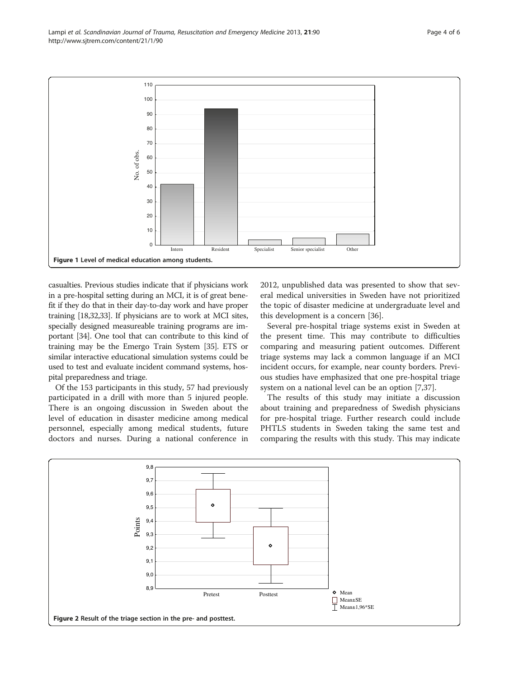<span id="page-3-0"></span>

casualties. Previous studies indicate that if physicians work in a pre-hospital setting during an MCI, it is of great benefit if they do that in their day-to-day work and have proper training [\[18](#page-4-0)[,32,33](#page-5-0)]. If physicians are to work at MCI sites, specially designed measureable training programs are important [[34](#page-5-0)]. One tool that can contribute to this kind of training may be the Emergo Train System [[35](#page-5-0)]. ETS or similar interactive educational simulation systems could be used to test and evaluate incident command systems, hospital preparedness and triage.

Of the 153 participants in this study, 57 had previously participated in a drill with more than 5 injured people. There is an ongoing discussion in Sweden about the level of education in disaster medicine among medical personnel, especially among medical students, future doctors and nurses. During a national conference in 2012, unpublished data was presented to show that several medical universities in Sweden have not prioritized the topic of disaster medicine at undergraduate level and this development is a concern [[36](#page-5-0)].

Several pre-hospital triage systems exist in Sweden at the present time. This may contribute to difficulties comparing and measuring patient outcomes. Different triage systems may lack a common language if an MCI incident occurs, for example, near county borders. Previous studies have emphasized that one pre-hospital triage system on a national level can be an option [[7,](#page-4-0)[37\]](#page-5-0).

The results of this study may initiate a discussion about training and preparedness of Swedish physicians for pre-hospital triage. Further research could include PHTLS students in Sweden taking the same test and comparing the results with this study. This may indicate

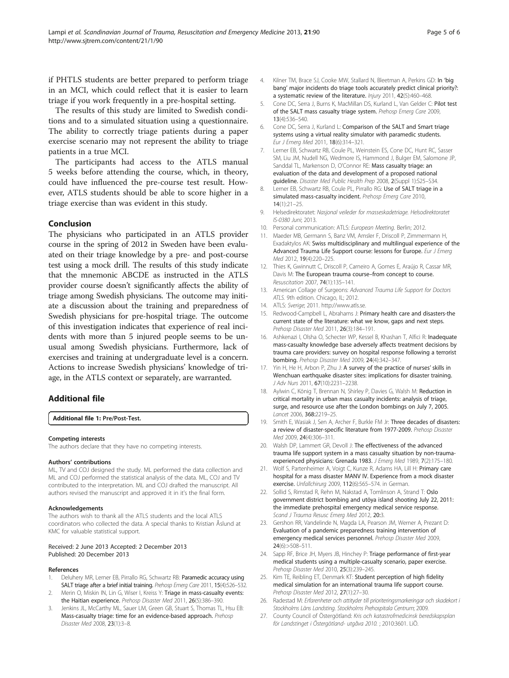<span id="page-4-0"></span>if PHTLS students are better prepared to perform triage in an MCI, which could reflect that it is easier to learn triage if you work frequently in a pre-hospital setting.

The results of this study are limited to Swedish conditions and to a simulated situation using a questionnaire. The ability to correctly triage patients during a paper exercise scenario may not represent the ability to triage patients in a true MCI.

The participants had access to the ATLS manual 5 weeks before attending the course, which, in theory, could have influenced the pre-course test result. However, ATLS students should be able to score higher in a triage exercise than was evident in this study.

#### Conclusion

The physicians who participated in an ATLS provider course in the spring of 2012 in Sweden have been evaluated on their triage knowledge by a pre- and post-course test using a mock drill. The results of this study indicate that the mnemonic ABCDE as instructed in the ATLS provider course doesn't significantly affects the ability of triage among Swedish physicians. The outcome may initiate a discussion about the training and preparedness of Swedish physicians for pre-hospital triage. The outcome of this investigation indicates that experience of real incidents with more than 5 injured people seems to be unusual among Swedish physicians. Furthermore, lack of exercises and training at undergraduate level is a concern. Actions to increase Swedish physicians' knowledge of triage, in the ATLS context or separately, are warranted.

### Additional file

#### [Additional file 1:](http://www.biomedcentral.com/content/supplementary/1757-7241-21-90-S1.doc) Pre/Post-Test.

#### Competing interests

The authors declare that they have no competing interests.

#### Authors' contributions

ML, TV and COJ designed the study. ML performed the data collection and ML and COJ performed the statistical analysis of the data. ML, COJ and TV contributed to the interpretation. ML and COJ drafted the manuscript. All authors revised the manuscript and approved it in it's the final form.

#### Acknowledgements

The authors wish to thank all the ATLS students and the local ATLS coordinators who collected the data. A special thanks to Kristian Åslund at KMC for valuable statistical support.

#### Received: 2 June 2013 Accepted: 2 December 2013 Published: 20 December 2013

#### References

- Deluhery MR, Lerner EB, Pirrallo RG, Schwartz RB: Paramedic accuracy using SALT triage after a brief initial training. Prehosp Emerg Care 2011, 15(4):526-532.
- 2. Merin O, Miskin IN, Lin G, Wiser I, Kreiss Y: Triage in mass-casualty events: the Haitian experience. Prehosp Disaster Med 2011, 26(5):386-390.
- 3. Jenkins JL, McCarthy ML, Sauer LM, Green GB, Stuart S, Thomas TL, Hsu EB: Mass-casualty triage: time for an evidence-based approach. Prehosp Disaster Med 2008, 23(1):3–8.
- 4. Kilner TM, Brace SJ, Cooke MW, Stallard N, Bleetman A, Perkins GD: In 'big bang' major incidents do triage tools accurately predict clinical priority?: a systematic review of the literature. Injury 2011, 42(5):460–468.
- 5. Cone DC, Serra J, Burns K, MacMillan DS, Kurland L, Van Gelder C: Pilot test of the SALT mass casualty triage system. Prehosp Emerg Care 2009, 13(4):536–540.
- 6. Cone DC, Serra J, Kurland L: Comparison of the SALT and Smart triage systems using a virtual reality simulator with paramedic students. Eur J Emerg Med 2011, 18(6):314–321.
- 7. Lerner EB, Schwartz RB, Coule PL, Weinstein ES, Cone DC, Hunt RC, Sasser SM, Liu JM, Nudell NG, Wedmore IS, Hammond J, Bulger EM, Salomone JP, Sanddal TL, Markenson D, O'Connor RE: Mass casualty triage: an evaluation of the data and development of a proposed national guideline. Disaster Med Public Health Prep 2008, 2(Suppl 1):S25–S34.
- 8. Lerner EB, Schwartz RB, Coule PL, Pirrallo RG: Use of SALT triage in a simulated mass-casualty incident. Prehosp Emerg Care 2010, 14(1):21–25.
- 9. Helsedirektoratet: Nasjonal veileder for masseskadetriage. Helsodirektoratet IS-0380 Juni; 2013.
- 10. Personal communication: ATLS: European Meeting. Berlin; 2012.
- 11. Maeder MB, Germann S, Banz VM, Amsler F, Driscoll P, Zimmermann H, Exadaktylos AK: Swiss multidisciplinary and multilingual experience of the Advanced Trauma Life Support course: lessons for Europe. Eur J Emerg Med 2012, 19(4):220–225.
- 12. Thies K, Gwinnutt C, Driscoll P, Carneiro A, Gomes E, Araújo R, Cassar MR, Davis M: The European trauma course–from concept to course. Resuscitation 2007, 74(1):135–141.
- 13. American Collage of Surgeons: Advanced Trauma Life Support for Doctors ATLS. 9th edition. Chicago, IL; 2012.
- 14. ATLS: Sverige; 2011. [http://www.atls.se](http://www.atls.se/).
- 15. Redwood-Campbell L, Abrahams J: Primary health care and disasters-the current state of the literature: what we know, gaps and next steps. Prehosp Disaster Med 2011, 26(3):184–191.
- 16. Ashkenazi I, Olsha O, Schecter WP, Kessel B, Khashan T, Alfici R: Inadequate mass-casualty knowledge base adversely affects treatment decisions by trauma care providers: survey on hospital response following a terrorist bombing. Prehosp Disaster Med 2009, 24(4):342–347.
- 17. Yin H, He H, Arbon P, Zhu J: A survey of the practice of nurses' skills in Wenchuan earthquake disaster sites: implications for disaster training. J Adv Nurs 2011, 67(10):2231–2238.
- 18. Aylwin C, König T, Brennan N, Shirley P, Davies G, Walsh M: Reduction in critical mortality in urban mass casualty incidents: analysis of triage, surge, and resource use after the London bombings on July 7, 2005. Lancet 2006, 368:2219–25.
- 19. Smith E, Wasiak J, Sen A, Archer F, Burkle FM Jr: Three decades of disasters: a review of disaster-specific literature from 1977-2009. Prehosp Disaster Med 2009, 24(4):306–311.
- 20. Walsh DP, Lammert GR, Devoll J: The effectiveness of the advanced trauma life support system in a mass casualty situation by non-traumaexperienced physicians: Grenada 1983. J Emerg Med 1989, 7(2):175-180.
- 21. Wolf S, Partenheimer A, Voigt C, Kunze R, Adams HA, Lill H: Primarv care hospital for a mass disaster MANV IV. Experience from a mock disaster exercise. Unfallchirurg 2009, 112(6):565–574. in German.
- 22. Sollid S, Rimstad R, Rehn M, Nakstad A, Tomlinson A, Strand T: Oslo government district bombing and utöya island shooting July 22, 2011: the immediate prehospital emergency medical service response. Scand J Trauma Resusc Emerg Med 2012, 20:3.
- 23. Gershon RR, Vandelinde N, Magda LA, Pearson JM, Werner A, Prezant D: Evaluation of a pandemic preparedness training intervention of emergency medical services personnel. Prehosp Disaster Med 2009, 24(6):>508–511.
- 24. Sapp RF, Brice JH, Myers JB, Hinchey P: Triage performance of first-year medical students using a multiple-casualty scenario, paper exercise. Prehosp Disaster Med 2010, 25(3):239–245.
- 25. Kim TE, Reibling ET, Denmark KT: Student perception of high fidelity medical simulation for an international trauma life support course. Prehosp Disaster Med 2012, 27(1):27–30.
- 26. Radestad M: Erfarenheter och attityder till prioriteringsmarkeringar och skadekort i Stockholms Läns Landsting. Stockholms Prehospitala Centrum; 2009.
- 27. County Council of Östergötland: Kris och katastrofmedicinsk beredskapsplan för Landstinget i Östergötland- utgåva 2010. ; 2010:3601. LiÖ.